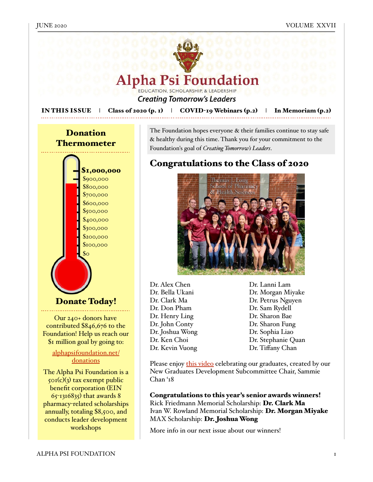

More info in our next issue about our winners!

workshops